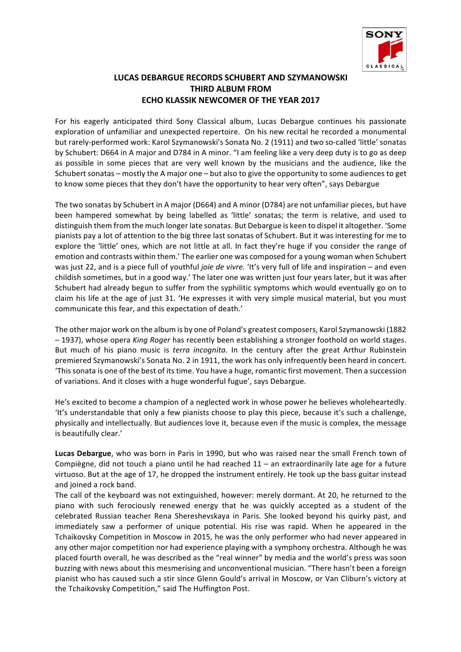

## **LUCAS DEBARGUE RECORDS SCHUBERT AND SZYMANOWSKI THIRD ALBUM FROM ECHO KLASSIK NEWCOMER OF THE YEAR 2017**

For his eagerly anticipated third Sony Classical album, Lucas Debargue continues his passionate exploration of unfamiliar and unexpected repertoire. On his new recital he recorded a monumental but rarely-performed work: Karol Szymanowski's Sonata No. 2 (1911) and two so-called 'little' sonatas by Schubert: D664 in A major and D784 in A minor. "I am feeling like a very deep duty is to go as deep as possible in some pieces that are very well known by the musicians and the audience, like the Schubert sonatas – mostly the A major one – but also to give the opportunity to some audiences to get to know some pieces that they don't have the opportunity to hear very often", says Debargue

The two sonatas by Schubert in A major (D664) and A minor (D784) are not unfamiliar pieces, but have been hampered somewhat by being labelled as 'little' sonatas; the term is relative, and used to distinguish them from the much longer late sonatas. But Debargue is keen to dispel it altogether. 'Some pianists pay a lot of attention to the big three last sonatas of Schubert. But it was interesting for me to explore the 'little' ones, which are not little at all. In fact they're huge if you consider the range of emotion and contrasts within them.' The earlier one was composed for a young woman when Schubert was just 22, and is a piece full of youthful *joie de vivre.* 'It's very full of life and inspiration – and even childish sometimes, but in a good way.' The later one was written just four years later, but it was after Schubert had already begun to suffer from the syphilitic symptoms which would eventually go on to claim his life at the age of just 31. 'He expresses it with very simple musical material, but you must communicate this fear, and this expectation of death.'

The other major work on the album is by one of Poland's greatest composers, Karol Szymanowski (1882  $-1937$ ), whose opera *King Roger* has recently been establishing a stronger foothold on world stages. But much of his piano music is *terra incognita*. In the century after the great Arthur Rubinstein premiered Szymanowski's Sonata No. 2 in 1911, the work has only infrequently been heard in concert. This sonata is one of the best of its time. You have a huge, romantic first movement. Then a succession of variations. And it closes with a huge wonderful fugue', says Debargue.

He's excited to become a champion of a neglected work in whose power he believes wholeheartedly. 'It's understandable that only a few pianists choose to play this piece, because it's such a challenge, physically and intellectually. But audiences love it, because even if the music is complex, the message is beautifully clear.'

**Lucas Debargue**, who was born in Paris in 1990, but who was raised near the small French town of Compiègne, did not touch a piano until he had reached  $11 -$  an extraordinarily late age for a future virtuoso. But at the age of 17, he dropped the instrument entirely. He took up the bass guitar instead and joined a rock band.

The call of the keyboard was not extinguished, however: merely dormant. At 20, he returned to the piano with such ferociously renewed energy that he was quickly accepted as a student of the celebrated Russian teacher Rena Shereshevskaya in Paris. She looked beyond his quirky past, and immediately saw a performer of unique potential. His rise was rapid. When he appeared in the Tchaikovsky Competition in Moscow in 2015, he was the only performer who had never appeared in any other major competition nor had experience playing with a symphony orchestra. Although he was placed fourth overall, he was described as the "real winner" by media and the world's press was soon buzzing with news about this mesmerising and unconventional musician. "There hasn't been a foreign pianist who has caused such a stir since Glenn Gould's arrival in Moscow, or Van Cliburn's victory at the Tchaikovsky Competition," said The Huffington Post.